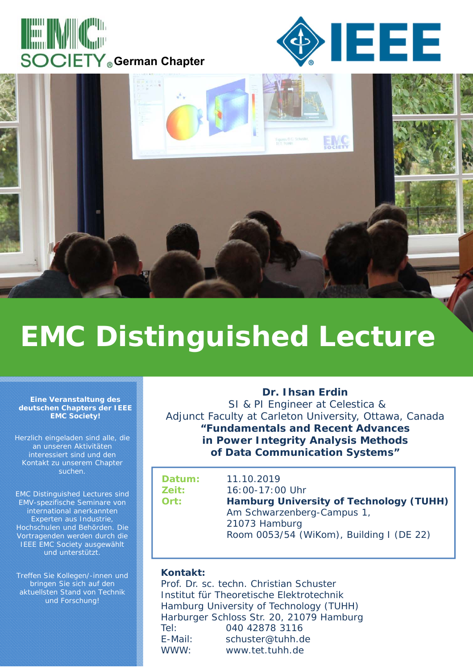





# **EMC Distinguished Lecture**

#### **Eine Veranstaltung des deutschen Chapters der IEEE EMC Society!**

Herzlich eingeladen sind alle, die an unseren Aktivitäten interessiert sind und den Kontakt zu unserem Chapter suchen.

EMC Distinguished Lectures sind EMV-spezifische Seminare von international anerkannten Experten aus Industrie, Hochschulen und Behörden. Die Vortragenden werden durch die IEEE EMC Society ausgewählt und unterstützt.

Treffen Sie Kollegen/-innen und bringen Sie sich auf den aktuellsten Stand von Technik und Forschung!

**Dr. Ihsan Erdin** SI & PI Engineer at Celestica & Adjunct Faculty at Carleton University, Ottawa, Canada **"Fundamentals and Recent Advances in Power Integrity Analysis Methods of Data Communication Systems"** 

**Datum:** 11.10.2019 **Zeit:** 16:00-17:00 Uhr **Ort: Hamburg University of Technology (TUHH)** Am Schwarzenberg-Campus 1, 21073 Hamburg Room 0053/54 (WiKom), Building I (DE 22)

#### **Kontakt:**

Prof. Dr. sc. techn. Christian Schuster Institut für Theoretische Elektrotechnik Hamburg University of Technology (TUHH) Harburger Schloss Str. 20, 21079 Hamburg Tel: 040 42878 3116 E-Mail: schuster@tuhh.de WWW: www.tet.tuhh.de